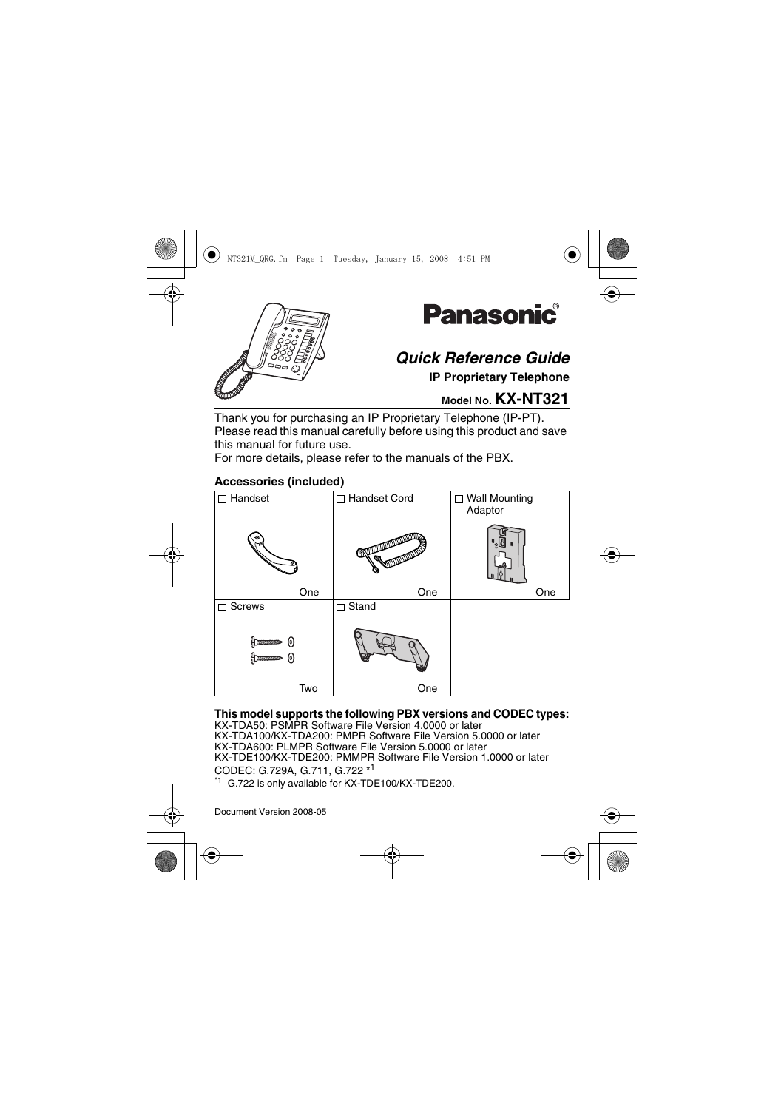



# *Quick Reference Guide*

**IP Proprietary Telephone**

## **Model No. KX-NT321**

Thank you for purchasing an IP Proprietary Telephone (IP-PT). Please read this manual carefully before using this product and save this manual for future use.

For more details, please refer to the manuals of the PBX.

## **Accessories (included)**



### **This model supports the following PBX versions and CODEC types:**

KX-TDA50: PSMPR Software File Version 4.0000 or later KX-TDA100/KX-TDA200: PMPR Software File Version 5.0000 or later KX-TDA600: PLMPR Software File Version 5.0000 or later KX-TDE100/KX-TDE200: PMMPR Software File Version 1.0000 or later CODEC: G.729A, G.711, G.722 \*<sup>1</sup> G.722 is only available for KX-TDE100/KX-TDE200.

Document Version 2008-05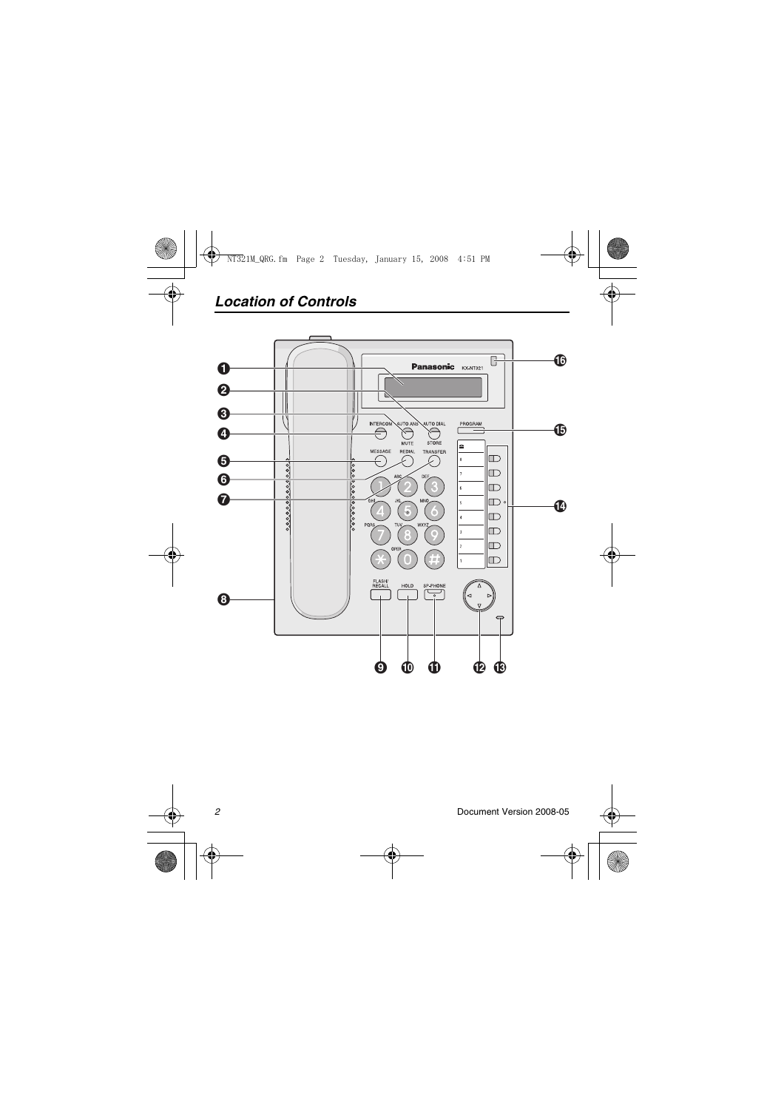## *Location of Controls*

<span id="page-1-0"></span>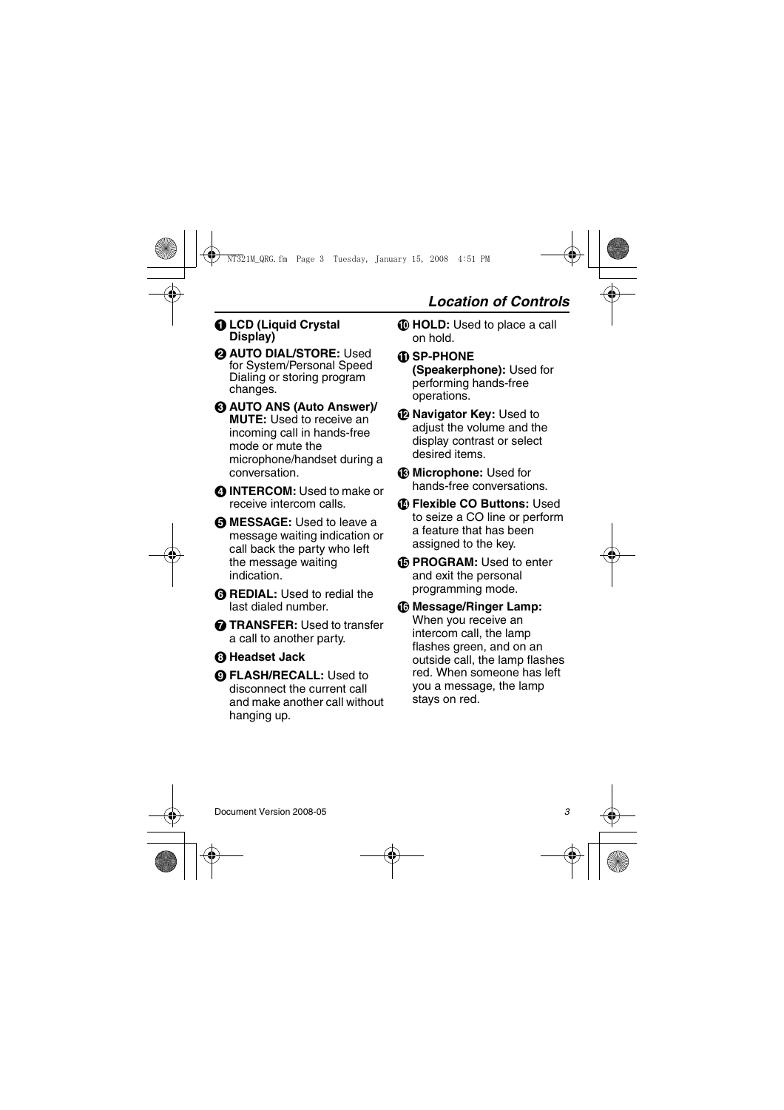### A **LCD (Liquid Crystal Display)**

- **@ AUTO DIAL/STORE: Used** for System/Personal Speed Dialing or storing program changes.
- C **AUTO ANS (Auto Answer)/ MUTE:** Used to receive an incoming call in hands-free mode or mute the microphone/handset during a conversation.
- **@ INTERCOM:** Used to make or receive intercom calls.
- **G MESSAGE:** Used to leave a message waiting indication or call back the party who left the message waiting indication.
- **G REDIAL:** Used to redial the last dialed number.
- **G** TRANSFER: Used to transfer a call to another party.
- **A** Headset Jack
- **O FLASH/RECALL:** Used to disconnect the current call and make another call without hanging up.
- *I* **HOLD:** Used to place a call on hold.
- *C* SP-PHONE **(Speakerphone):** Used for performing hands-free operations.
- L **Navigator Key:** Used to adjust the volume and the display contrast or select desired items.
- *B* Microphone: Used for hands-free conversations.
- N **Flexible CO Buttons:** Used to seize a CO line or perform a feature that has been assigned to the key.
- O **PROGRAM:** Used to enter and exit the personal programming mode.
- *<b>C* Message/Ringer Lamp: When you receive an intercom call, the lamp flashes green, and on an outside call, the lamp flashes red. When someone has left you a message, the lamp stays on red.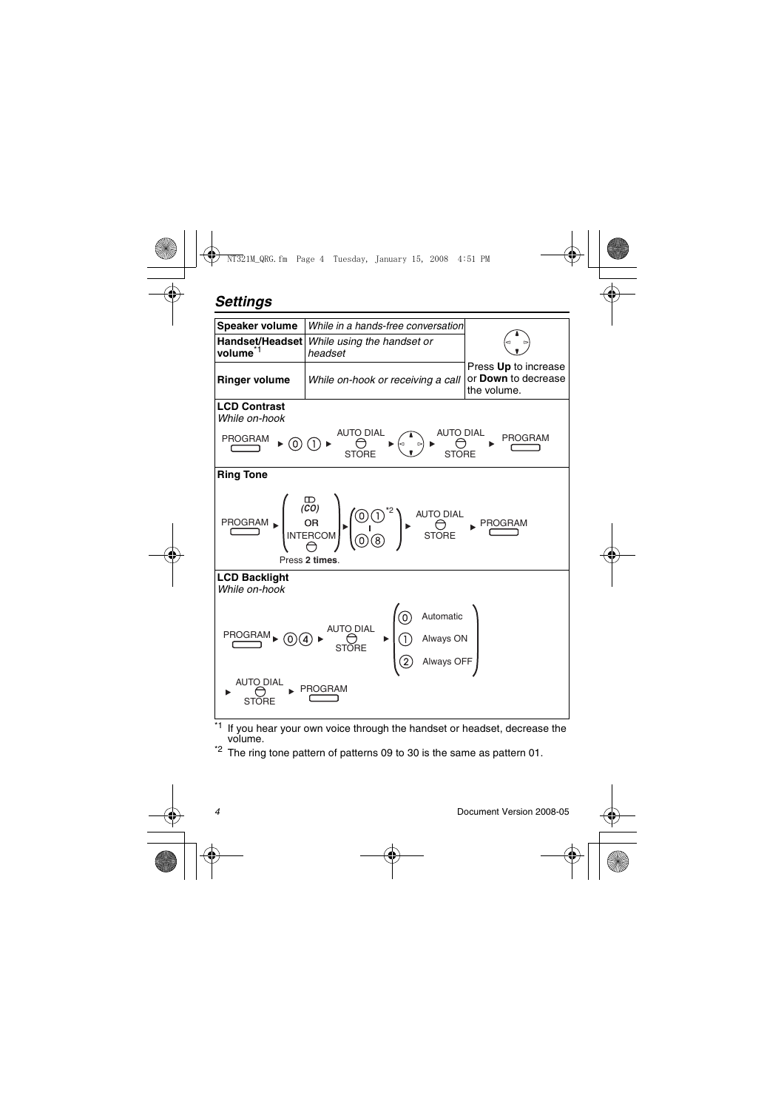## *Settings*



<span id="page-3-0"></span>If you hear your own voice through the handset or headset, decrease the volume.

 $*2$  The ring tone pattern of patterns 09 to 30 is the same as pattern 01.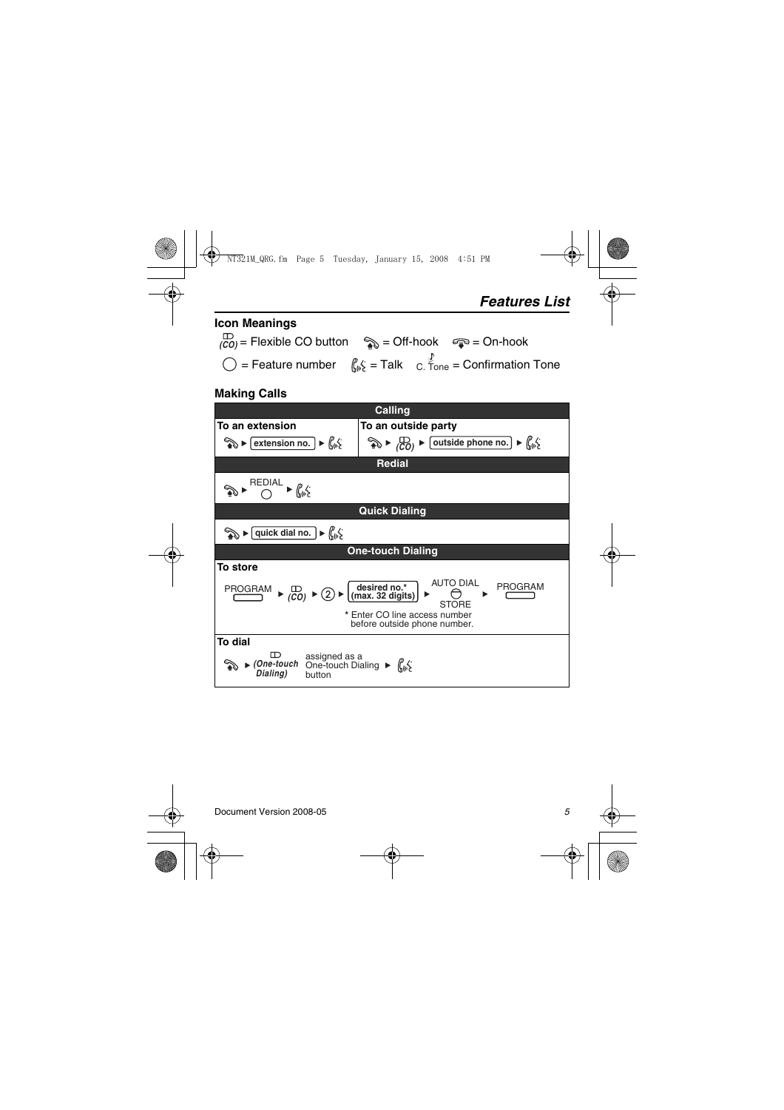# **Icon Meanings**  $\overline{(co)}$  = Flexible CO button  $\quad$  = Off-hook  $\quad$   $\Rightarrow$  = On-hook  $\bigcirc$  = Feature number  $\int_{\mathbb{R}} \xi = \text{Talk}$  c.  $\zeta_{one} =$  Confirmation Tone

## **Making Calls**

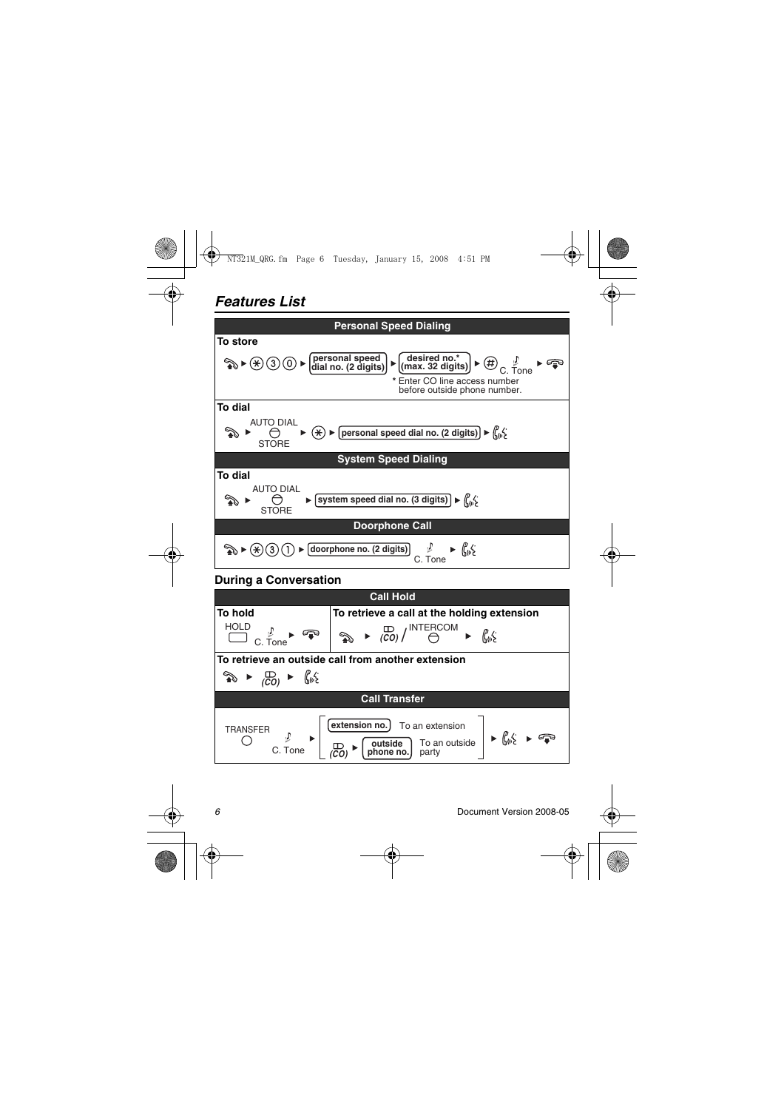## *Features List*



### **During a Conversation**

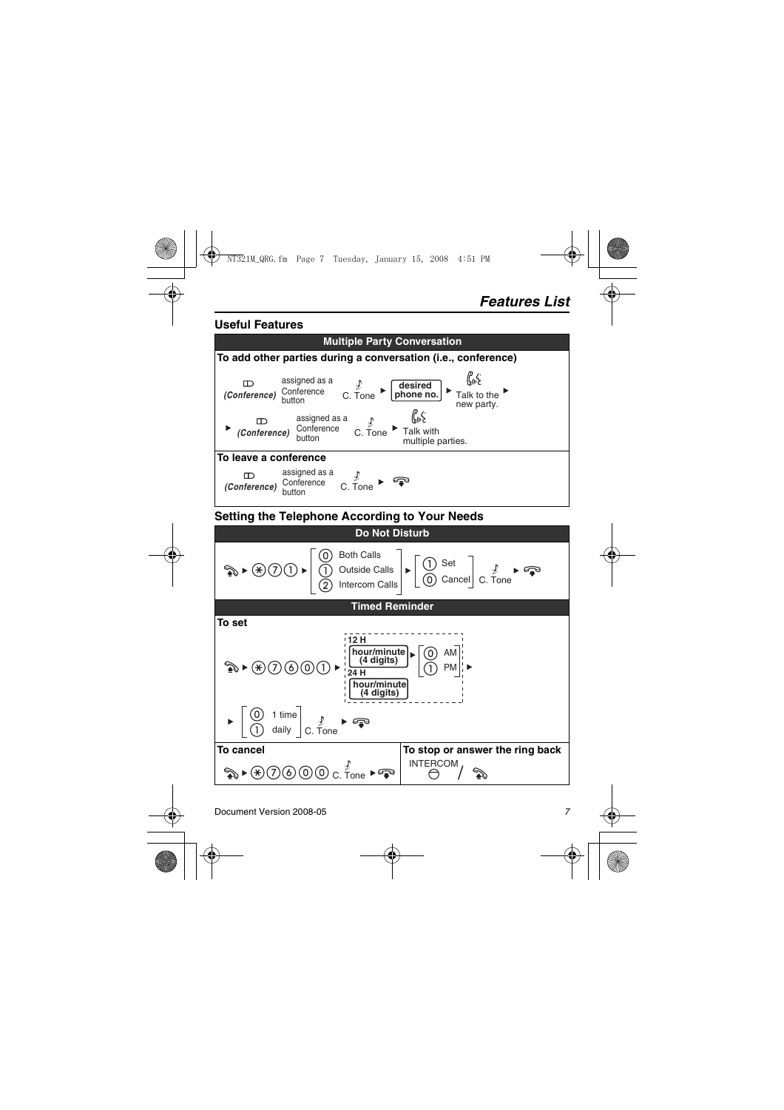#### **Useful Features**

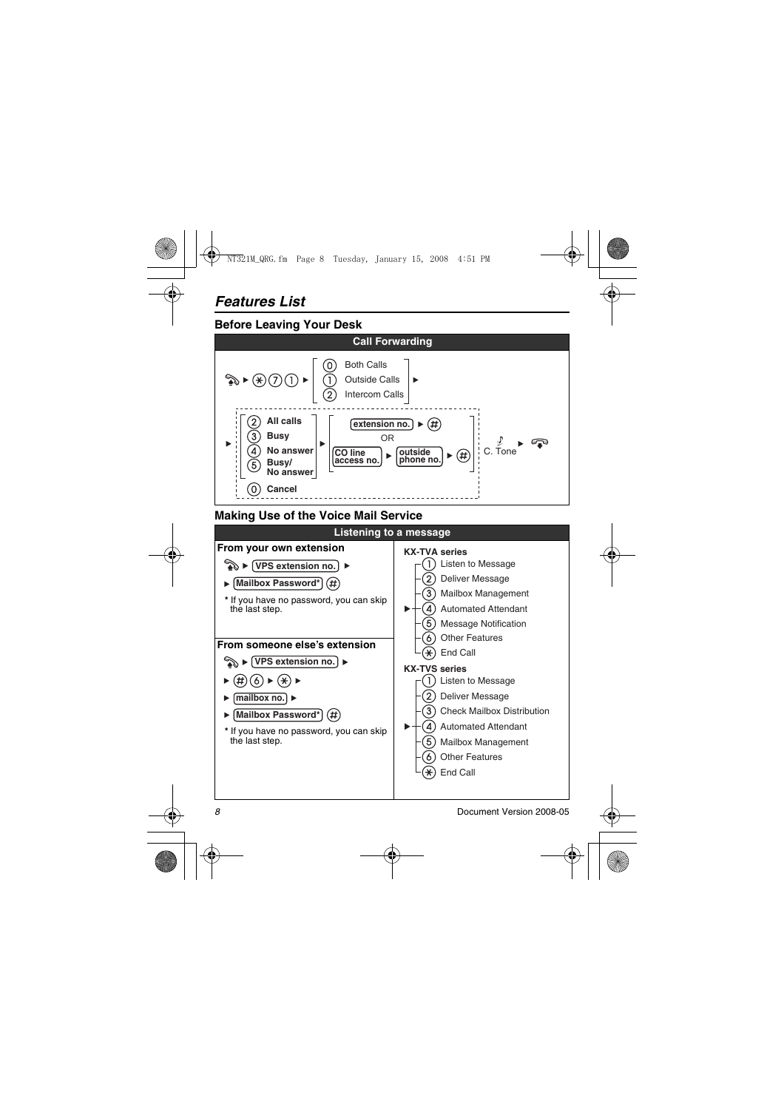## **Before Leaving Your Desk**



## **Making Use of the Voice Mail Service**

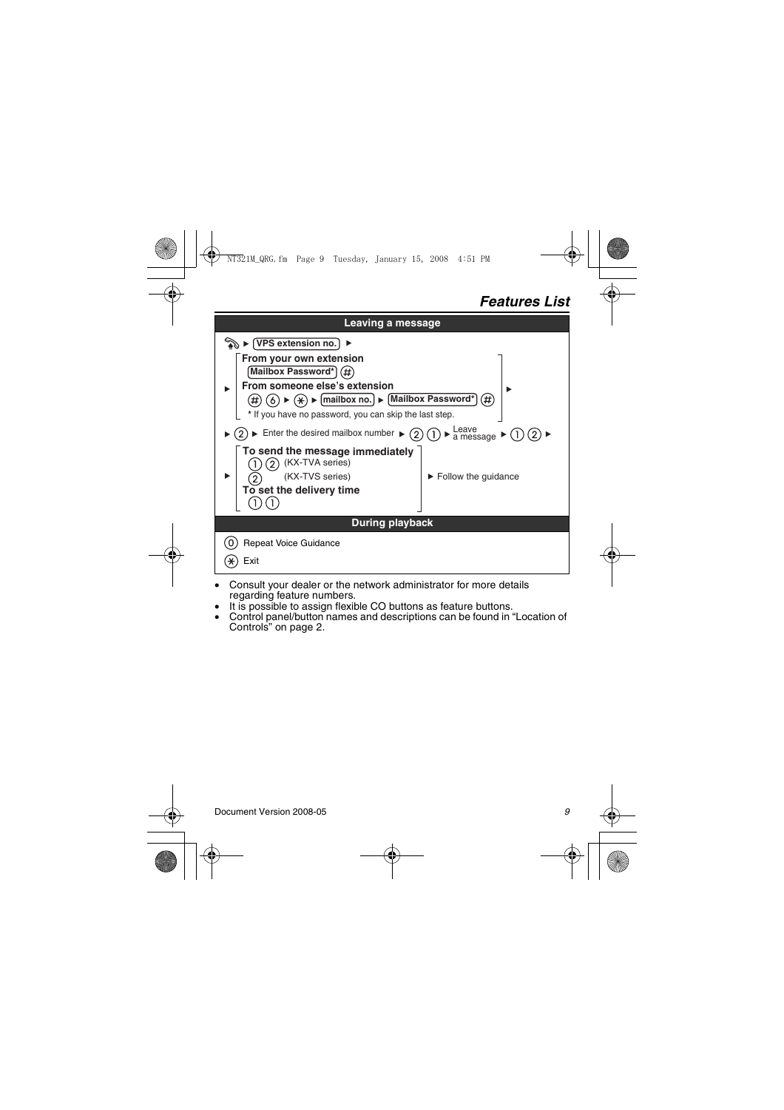## *Features List*

| Leaving a message                                                                                                                                                                                                         |                                           |
|---------------------------------------------------------------------------------------------------------------------------------------------------------------------------------------------------------------------------|-------------------------------------------|
| ର ▶ (VPS extension no. ັ                                                                                                                                                                                                  |                                           |
| From your own extension<br>Mailbox Password*<br>From someone else's extension<br>$(\%)$ $\triangleright$ [mailbox no.] $\triangleright$ [Mailbox Password*] (#)<br>* If you have no password, you can skip the last step. |                                           |
| Leave<br>a message ▶<br>$\blacktriangleright$ Enter the desired mailbox number $\blacktriangleright$                                                                                                                      |                                           |
| To send the message immediately<br>(KX-TVA series)<br>(KX-TVS series)<br>To set the delivery time                                                                                                                         | $\blacktriangleright$ Follow the quidance |
| <b>During playback</b>                                                                                                                                                                                                    |                                           |
| <b>Repeat Voice Guidance</b><br>Exit                                                                                                                                                                                      |                                           |

- Consult your dealer or the network administrator for more details regarding feature numbers.
- It is possible to assign flexible CO buttons as feature buttons.
- Control panel/button names and descriptions can be found in ["Location of](#page-1-0)  [Controls"](#page-1-0) on [page 2](#page-1-0).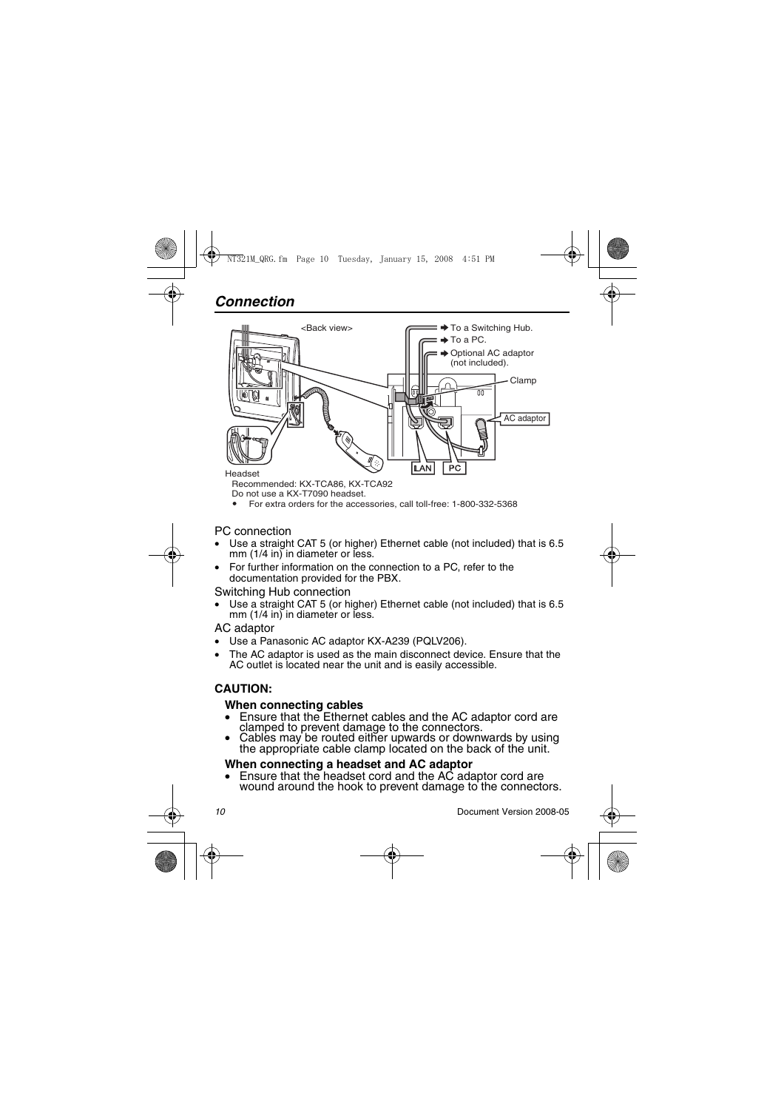

Recommended: KX-TCA86, KX-TCA92

Do not use a KX-T7090 headset.

For extra orders for the accessories, call toll-free: 1-800-332-5368

#### PC connection

- Use a straight CAT 5 (or higher) Ethernet cable (not included) that is 6.5 mm (1/4 in) in diameter or less.
- For further information on the connection to a PC, refer to the documentation provided for the PBX.

#### Switching Hub connection

Use a straight CAT 5 (or higher) Ethernet cable (not included) that is 6.5 mm  $(1/4$  in) in diameter or less.

#### AC adaptor

- Use a Panasonic AC adaptor KX-A239 (PQLV206).
- The AC adaptor is used as the main disconnect device. Ensure that the AC outlet is located near the unit and is easily accessible.

## **CAUTION:**

#### **When connecting cables**

- Ensure that the Ethernet cables and the AC adaptor cord are clamped to prevent damage to the connectors.
- clamped to prevent damage to the connectors. Cables may be routed either upwards or downwards by using the appropriate cable clamp located on the back of the unit.

#### **When connecting a headset and AC adaptor**

• Ensure that the headset cord and the AC adaptor cord are wound around the hook to prevent damage to the connectors.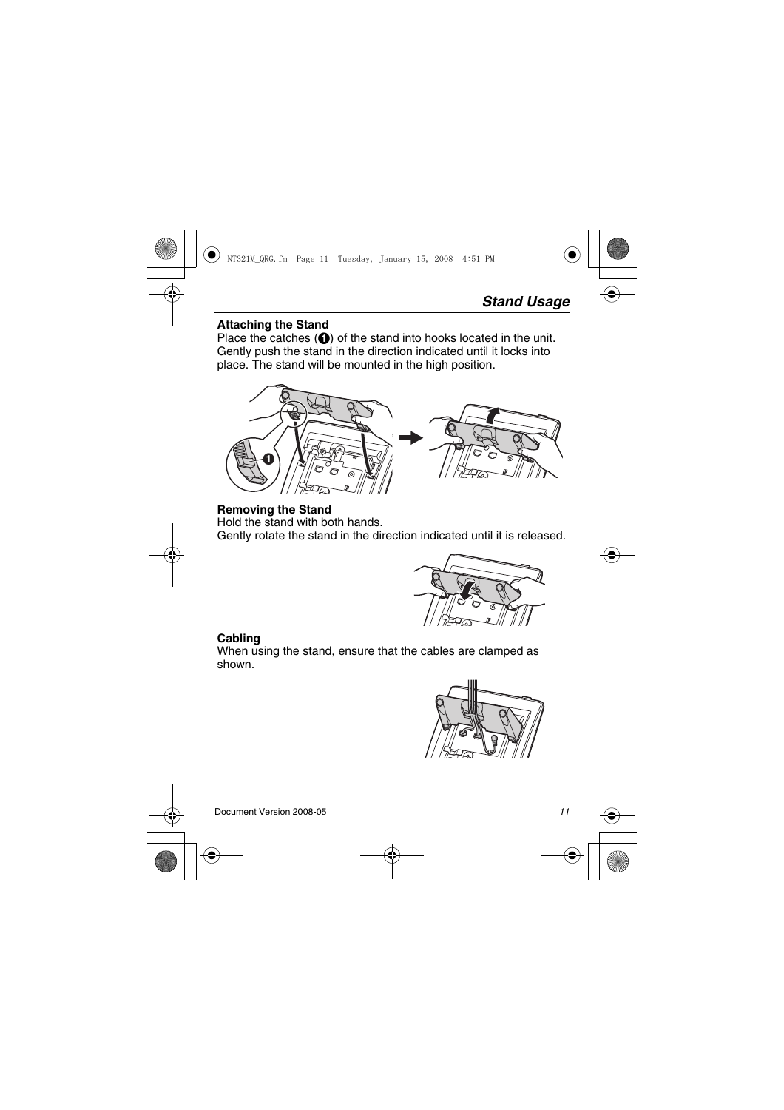#### **Attaching the Stand**

Place the catches  $\left(\bigodot\right)$  of the stand into hooks located in the unit. Gently push the stand in the direction indicated until it locks into place. The stand will be mounted in the high position.



<span id="page-10-0"></span>**Removing the Stand** Hold the stand with both hands. Gently rotate the stand in the direction indicated until it is released.



## **Cabling**

When using the stand, ensure that the cables are clamped as shown.

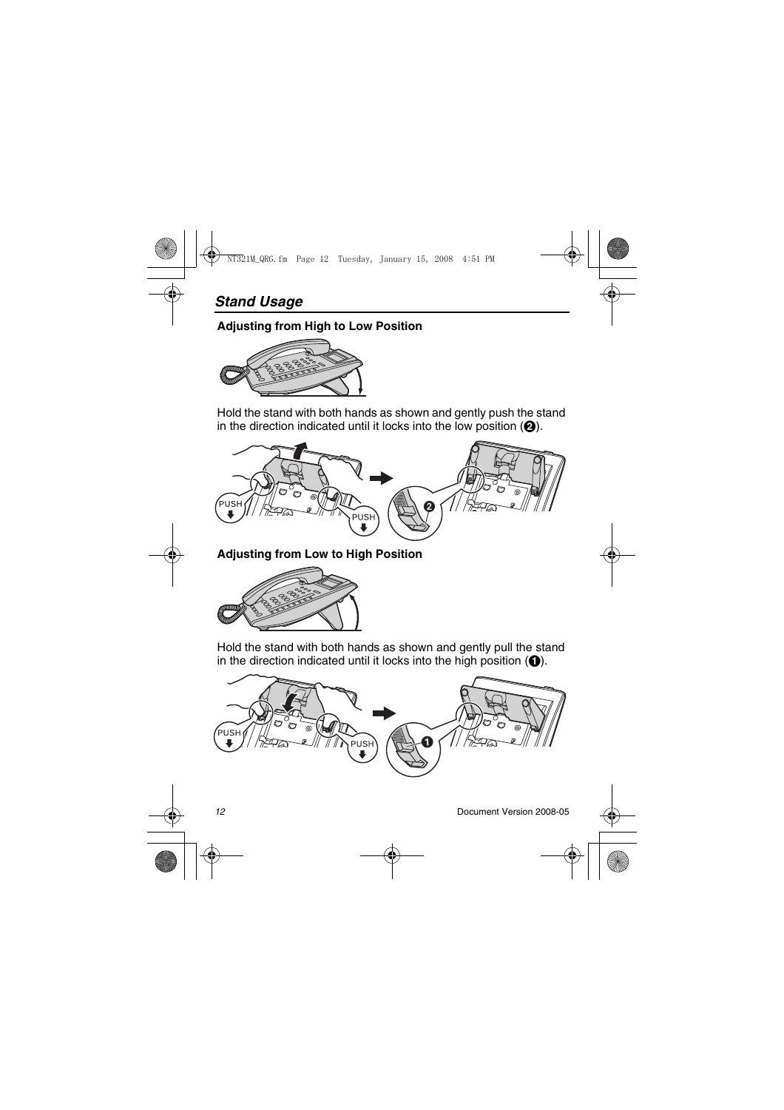## **Adjusting from High to Low Position**



Hold the stand with both hands as shown and gently push the stand in the direction indicated until it locks into the low position  $\left( \bigcirc \right)$ .



**Adjusting from Low to High Position**



Hold the stand with both hands as shown and gently pull the stand in the direction indicated until it locks into the high position  $(\bigcirc)$ .

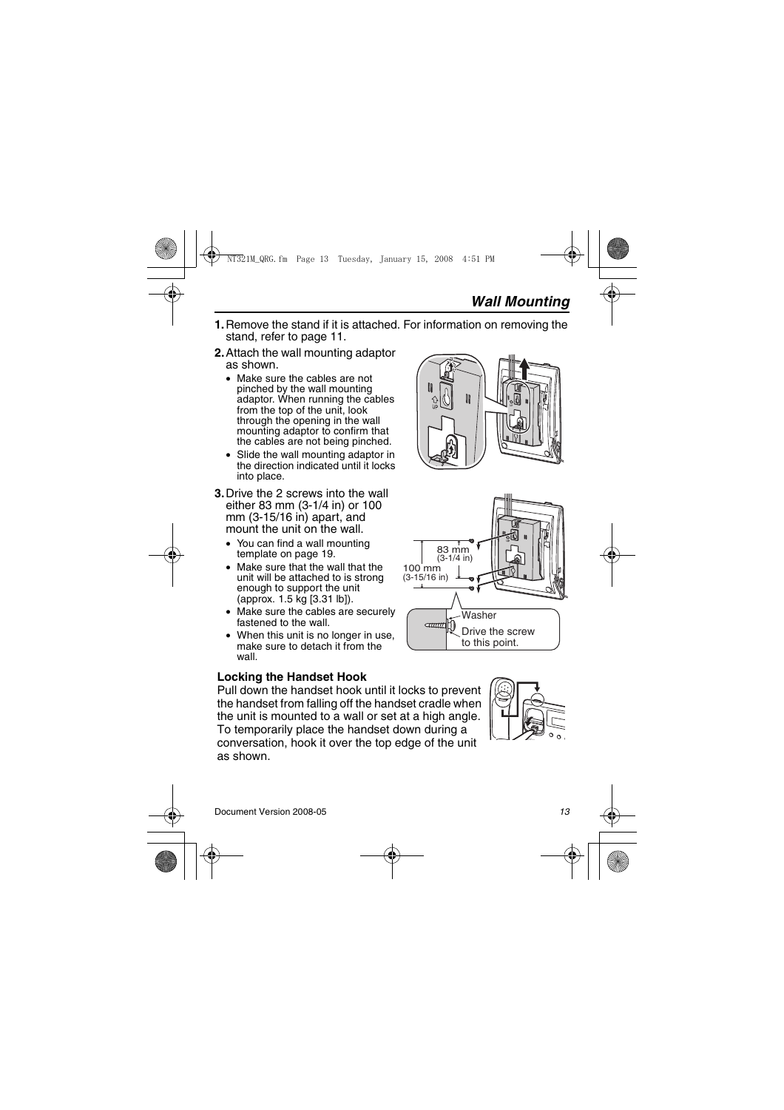- **1.** Remove the stand if it is attached. For information on removing the stand, refer to [page 11.](#page-10-0)
- **2.**Attach the wall mounting adaptor as shown.
	- Make sure the cables are not pinched by the wall mounting adaptor. When running the cables from the top of the unit. look through the opening in the wall mounting adaptor to confirm that the cables are not being pinched.
	- Slide the wall mounting adaptor in the direction indicated until it locks into place.
- **3.**Drive the 2 screws into the wall either 83 mm (3-1/4 in) or 100 mm (3-15/16 in) apart, and mount the unit on the wall.
	- You can find a wall mounting template on [page 19.](#page-18-0)
	- Make sure that the wall that the unit will be attached to is strong enough to support the unit (approx. 1.5 kg [3.31 lb]).
	- Make sure the cables are securely fastened to the wall.
	- When this unit is no longer in use. make sure to detach it from the wall.

## **Locking the Handset Hook**

Pull down the handset hook until it locks to prevent the handset from falling off the handset cradle when the unit is mounted to a wall or set at a high angle. To temporarily place the handset down during a conversation, hook it over the top edge of the unit as shown.





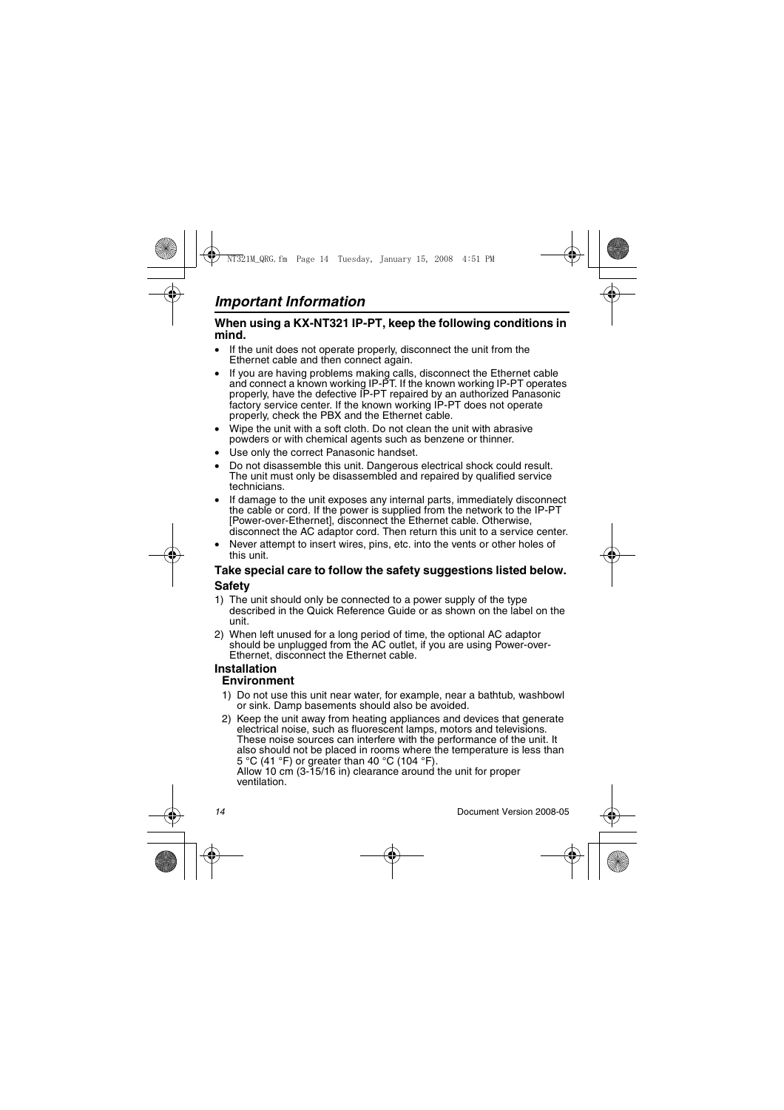#### When using a KX-NT321 IP-PT, keep the following conditions in **mind.**

- If the unit does not operate properly, disconnect the unit from the Ethernet cable and then connect again.
- If you are having problems making calls, disconnect the Ethernet cable and connect a known working IP-PT. If the known working IP-PT operates properly, have the defective IP-PT repaired by an authorized Panasonic factory service center. If the known working IP-PT does not operate properly, check the PBX and the Ethernet cable.
- Wipe the unit with a soft cloth. Do not clean the unit with abrasive powders or with chemical agents such as benzene or thinner.
- Use only the correct Panasonic handset.
- Do not disassemble this unit. Dangerous electrical shock could result. The unit must only be disassembled and repaired by qualified service technicians.
- If damage to the unit exposes any internal parts, immediately disconnect the cable or cord. If the power is supplied from the network to the IP-PT [Power-over-Ethernet], disconnect the Ethernet cable, Otherwise, disconnect the AC adaptor cord. Then return this unit to a service center.
- Never attempt to insert wires, pins, etc. into the vents or other holes of this unit.

### **Take special care to follow the safety suggestions listed below. Safety**

- 1) The unit should only be connected to a power supply of the type described in the Quick Reference Guide or as shown on the label on the unit.
- 2) When left unused for a long period of time, the optional AC adaptor should be unplugged from the AC outlet, if you are using Power-over-Ethernet, disconnect the Ethernet cable.

#### **Installation Environment**

- 1) Do not use this unit near water, for example, near a bathtub, washbowl or sink. Damp basements should also be avoided.
- 2) Keep the unit away from heating appliances and devices that generate electrical noise, such as fluorescent lamps, motors and televisions. These noise sources can interfere with the performance of the unit. It also should not be placed in rooms where the temperature is less than 5 °C (41 °F) or greater than 40 °C (104 °F).

Allow 10 cm (3-15/16 in) clearance around the unit for proper ventilation.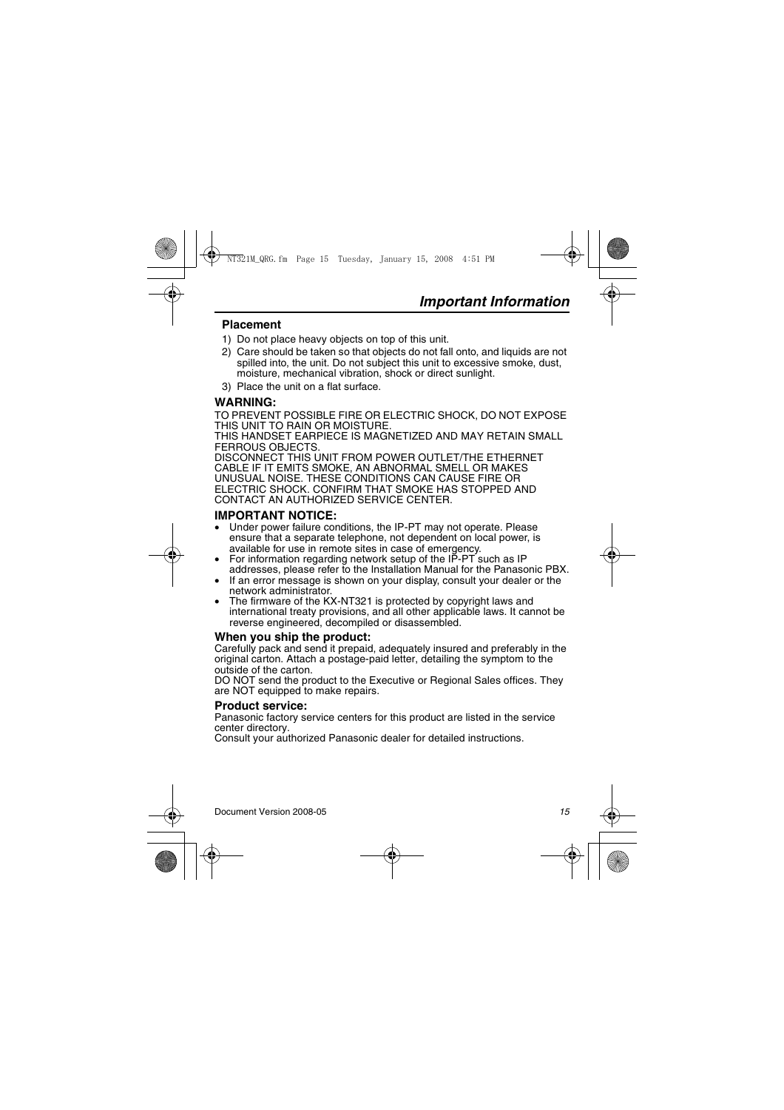### **Placement**

- 1) Do not place heavy objects on top of this unit.
- 2) Care should be taken so that objects do not fall onto, and liquids are not spilled into, the unit. Do not subject this unit to excessive smoke, dust, moisture, mechanical vibration, shock or direct sunlight.
- 3) Place the unit on a flat surface.

### **WARNING:**

TO PREVENT POSSIBLE FIRE OR ELECTRIC SHOCK, DO NOT EXPOSE THIS UNIT TO RAIN OR MOISTURE.

THIS HANDSET EARPIECE IS MAGNETIZED AND MAY RETAIN SMALL FERROUS OBJECTS.

DISCONNECT THIS UNIT FROM POWER OUTLET/THE ETHERNET CABLE IF IT EMITS SMOKE, AN ABNORMAL SMELL OR MAKES UNUSUAL NOISE. THESE CONDITIONS CAN CAUSE FIRE OR ELECTRIC SHOCK. CONFIRM THAT SMOKE HAS STOPPED AND CONTACT AN AUTHORIZED SERVICE CENTER.

### **IMPORTANT NOTICE:**

- Under power failure conditions, the IP-PT may not operate. Please ensure that a separate telephone, not dependent on local power, is available for use in remote sites in case of emergency.
- For information regarding network setup of the IP-PT such as IP addresses, please refer to the Installation Manual for the Panasonic PBX.
- If an error message is shown on your display, consult your dealer or the network administrator.
- The firmware of the KX-NT321 is protected by copyright laws and international treaty provisions, and all other applicable laws. It cannot be reverse engineered, decompiled or disassembled.

#### **When you ship the product:**

Carefully pack and send it prepaid, adequately insured and preferably in the original carton. Attach a postage-paid letter, detailing the symptom to the outside of the carton.

DO NOT send the product to the Executive or Regional Sales offices. They are NOT equipped to make repairs.

#### **Product service:**

Panasonic factory service centers for this product are listed in the service center directory.

Consult your authorized Panasonic dealer for detailed instructions.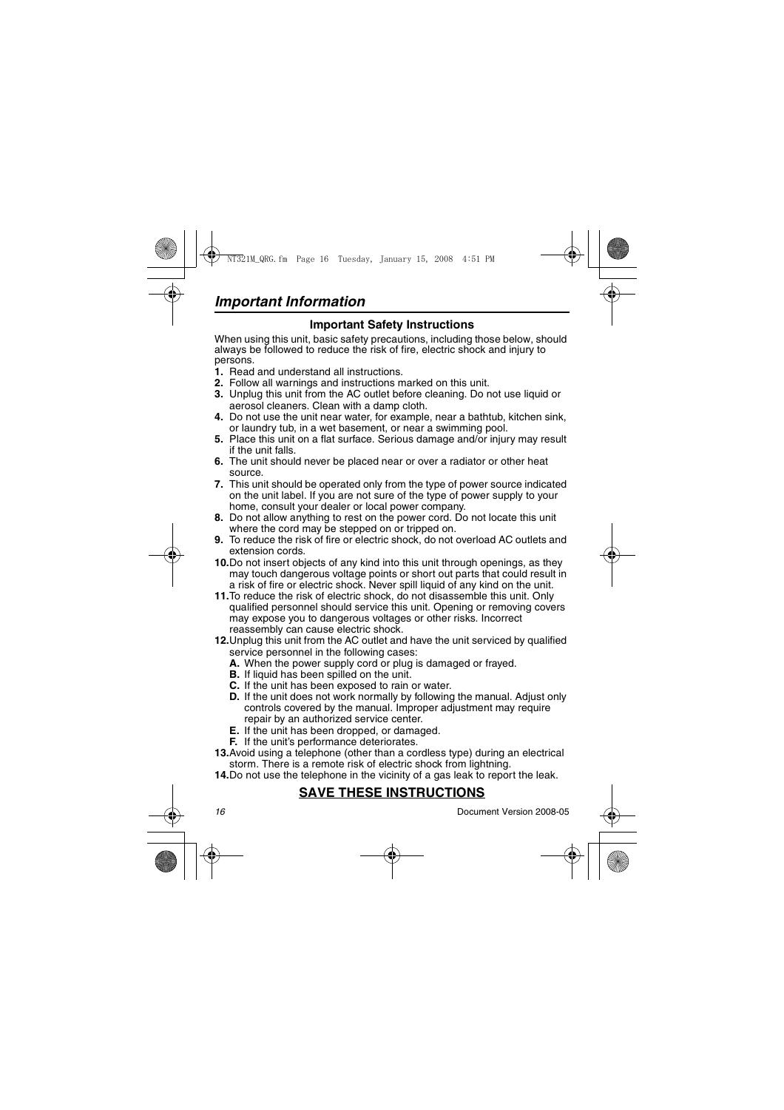## **Important Safety Instructions**

When using this unit, basic safety precautions, including those below, should always be followed to reduce the risk of fire, electric shock and injury to persons.

- **1.** Read and understand all instructions.
- **2.** Follow all warnings and instructions marked on this unit.
- **3.** Unplug this unit from the AC outlet before cleaning. Do not use liquid or aerosol cleaners. Clean with a damp cloth.
- **4.** Do not use the unit near water, for example, near a bathtub, kitchen sink, or laundry tub, in a wet basement, or near a swimming pool.
- **5.** Place this unit on a flat surface. Serious damage and/or injury may result if the unit falls.
- **6.** The unit should never be placed near or over a radiator or other heat source.
- **7.** This unit should be operated only from the type of power source indicated on the unit label. If you are not sure of the type of power supply to your home, consult your dealer or local power company.
- **8.** Do not allow anything to rest on the power cord. Do not locate this unit where the cord may be stepped on or tripped on.
- **9.** To reduce the risk of fire or electric shock, do not overload AC outlets and extension cords.
- **10.**Do not insert objects of any kind into this unit through openings, as they may touch dangerous voltage points or short out parts that could result in a risk of fire or electric shock. Never spill liquid of any kind on the unit.
- **11.**To reduce the risk of electric shock, do not disassemble this unit. Only qualified personnel should service this unit. Opening or removing covers may expose you to dangerous voltages or other risks. Incorrect reassembly can cause electric shock.
- **12.**Unplug this unit from the AC outlet and have the unit serviced by qualified service personnel in the following cases:
	- **A.** When the power supply cord or plug is damaged or frayed.
	- **B.** If liquid has been spilled on the unit.
	- **C.** If the unit has been exposed to rain or water.
	- **D.** If the unit does not work normally by following the manual. Adjust only controls covered by the manual. Improper adjustment may require repair by an authorized service center.
	- **E.** If the unit has been dropped, or damaged.
	- **F.** If the unit's performance deteriorates.
- **13.**Avoid using a telephone (other than a cordless type) during an electrical storm. There is a remote risk of electric shock from lightning.
- **14.**Do not use the telephone in the vicinity of a gas leak to report the leak.

## **SAVE THESE INSTRUCTIONS**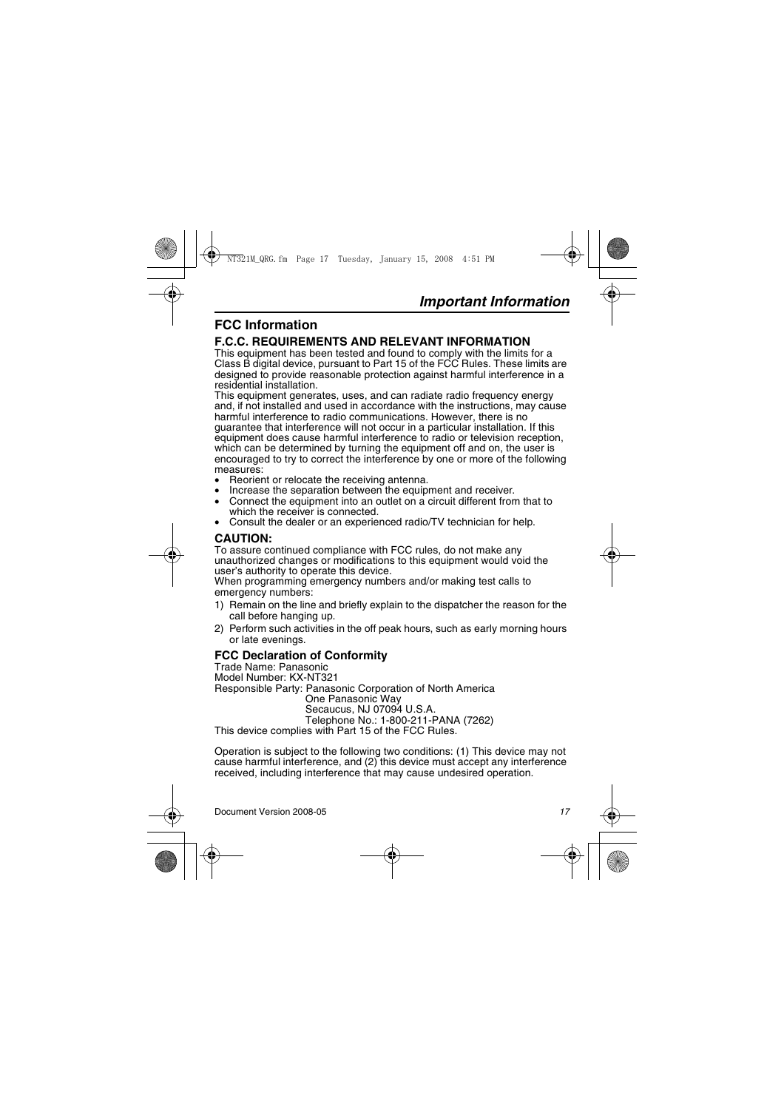## **FCC Information**

### **F.C.C. REQUIREMENTS AND RELEVANT INFORMATION**

This equipment has been tested and found to comply with the limits for a Class B digital device, pursuant to Part 15 of the FCC Rules. These limits are designed to provide reasonable protection against harmful interference in a residential installation.

This equipment generates, uses, and can radiate radio frequency energy and, if not installed and used in accordance with the instructions, may cause harmful interference to radio communications. However, there is no guarantee that interference will not occur in a particular installation. If this equipment does cause harmful interference to radio or television reception, which can be determined by turning the equipment off and on, the user is encouraged to try to correct the interference by one or more of the following measures:<br>• Reorient or relocate the receiving antenna.

- 
- Increase the separation between the equipment and receiver.
- Connect the equipment into an outlet on a circuit different from that to which the receiver is connected.
- Consult the dealer or an experienced radio/TV technician for help.

## **CAUTION:**

To assure continued compliance with FCC rules, do not make any unauthorized changes or modifications to this equipment would void the user's authority to operate this device.

When programming emergency numbers and/or making test calls to emergency numbers:

- 1) Remain on the line and briefly explain to the dispatcher the reason for the call before hanging up.
- 2) Perform such activities in the off peak hours, such as early morning hours or late evenings.

### **FCC Declaration of Conformity**

Trade Name: Panasonic Model Number: KX-NT321 Responsible Party: Panasonic Corporation of North America One Panasonic Way Secaucus, NJ 07094 U.S.A. Telephone No.: 1-800-211-PANA (7262) This device complies with Part 15 of the FCC Rules.

Operation is subject to the following two conditions: (1) This device may not cause harmful interference, and (2) this device must accept any interference received, including interference that may cause undesired operation.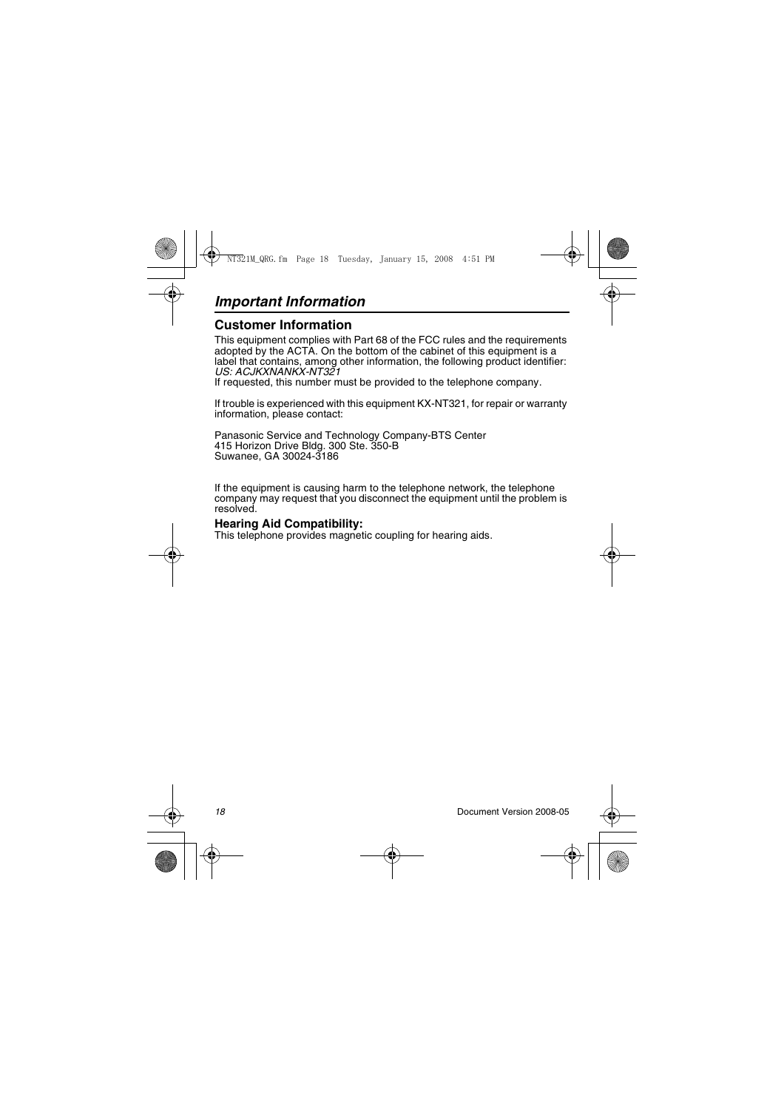## *Important Information*

## **Customer Information**

This equipment complies with Part 68 of the FCC rules and the requirements adopted by the ACTA. On the bottom of the cabinet of this equipment is a label that contains, among other information, the following product identifier: *US: ACJKXNANKX-NT321*

If requested, this number must be provided to the telephone company.

If trouble is experienced with this equipment KX-NT321, for repair or warranty information, please contact:

Panasonic Service and Technology Company-BTS Center 415 Horizon Drive Bldg. 300 Ste. 350-B Suwanee, GA 30024-3186

If the equipment is causing harm to the telephone network, the telephone company may request that you disconnect the equipment until the problem is resolved.

#### **Hearing Aid Compatibility:**

This telephone provides magnetic coupling for hearing aids.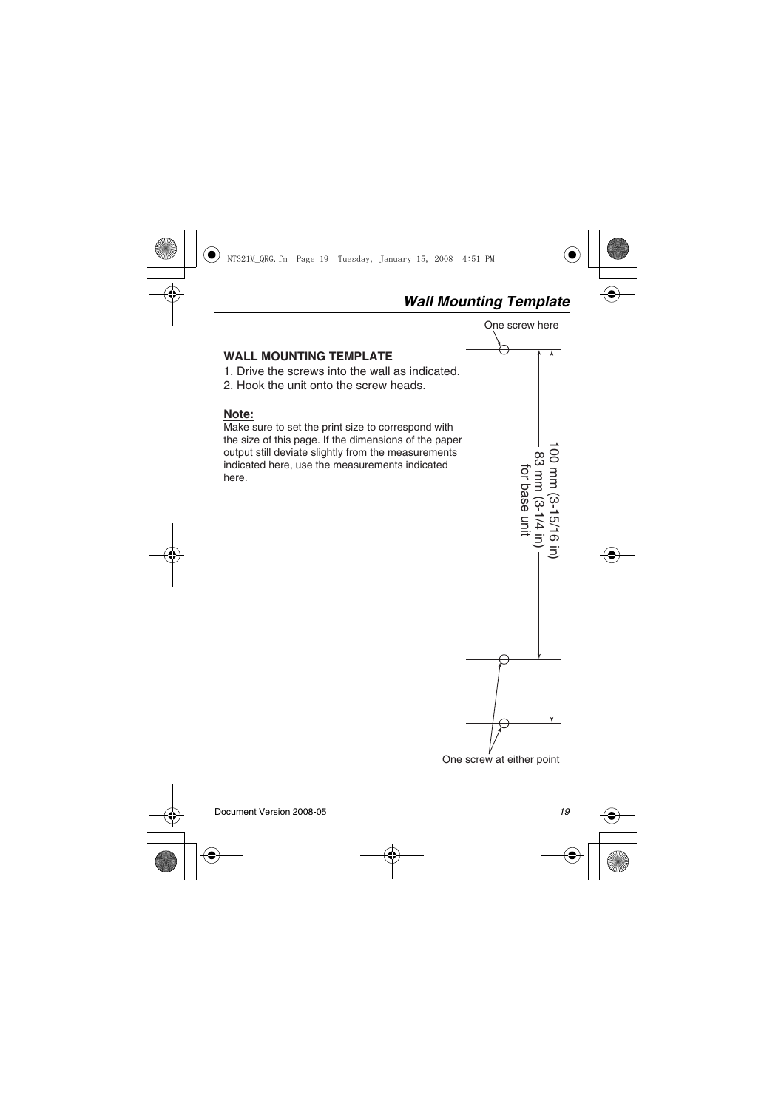## *Wall Mounting Template*

One screw here



## <span id="page-18-0"></span>**WALL MOUNTING TEMPLATE**

- 1. Drive the screws into the wall as indicated.
- 2. Hook the unit onto the screw heads.

## **Note:**

Make sure to set the print size to correspond with the size of this page. If the dimensions of the paper output still deviate slightly from the measurements indicated here, use the measurements indicated here.